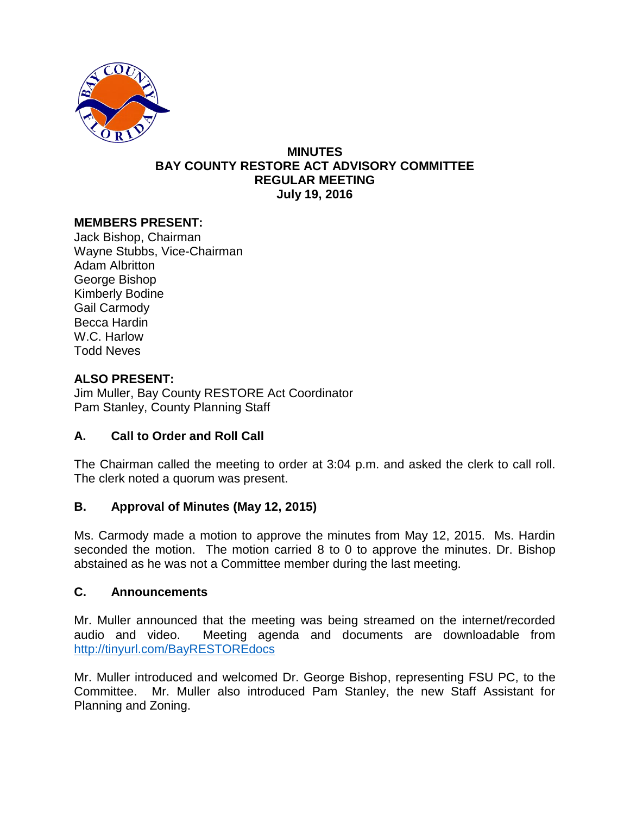

#### **MINUTES BAY COUNTY RESTORE ACT ADVISORY COMMITTEE REGULAR MEETING July 19, 2016**

# **MEMBERS PRESENT:**

Jack Bishop, Chairman Wayne Stubbs, Vice-Chairman Adam Albritton George Bishop Kimberly Bodine Gail Carmody Becca Hardin W.C. Harlow Todd Neves

# **ALSO PRESENT:**

Jim Muller, Bay County RESTORE Act Coordinator Pam Stanley, County Planning Staff

## **A. Call to Order and Roll Call**

The Chairman called the meeting to order at 3:04 p.m. and asked the clerk to call roll. The clerk noted a quorum was present.

## **B. Approval of Minutes (May 12, 2015)**

Ms. Carmody made a motion to approve the minutes from May 12, 2015. Ms. Hardin seconded the motion. The motion carried 8 to 0 to approve the minutes. Dr. Bishop abstained as he was not a Committee member during the last meeting.

## **C. Announcements**

Mr. Muller announced that the meeting was being streamed on the internet/recorded audio and video. Meeting agenda and documents are downloadable from <http://tinyurl.com/BayRESTOREdocs>

Mr. Muller introduced and welcomed Dr. George Bishop, representing FSU PC, to the Committee. Mr. Muller also introduced Pam Stanley, the new Staff Assistant for Planning and Zoning.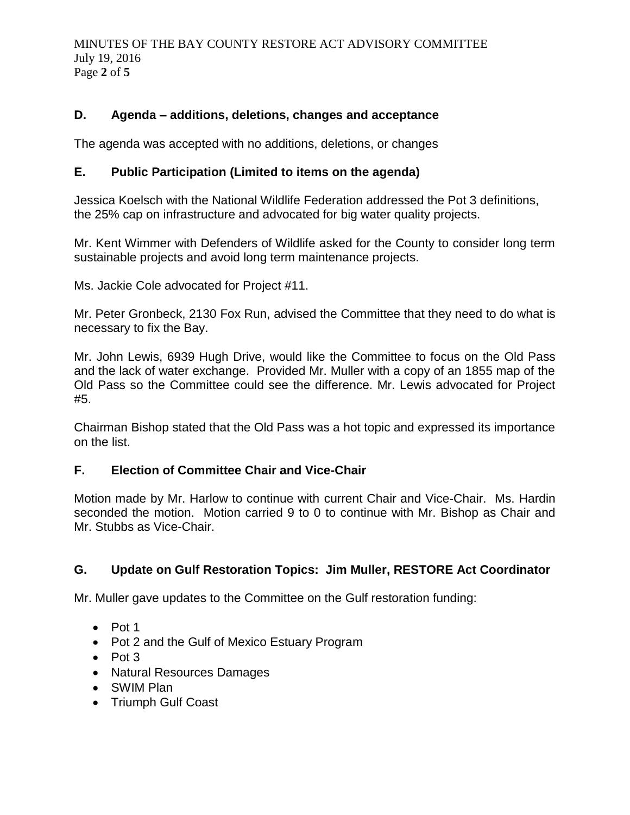MINUTES OF THE BAY COUNTY RESTORE ACT ADVISORY COMMITTEE July 19, 2016 Page **2** of **5**

# **D. Agenda – additions, deletions, changes and acceptance**

The agenda was accepted with no additions, deletions, or changes

# **E. Public Participation (Limited to items on the agenda)**

Jessica Koelsch with the National Wildlife Federation addressed the Pot 3 definitions, the 25% cap on infrastructure and advocated for big water quality projects.

Mr. Kent Wimmer with Defenders of Wildlife asked for the County to consider long term sustainable projects and avoid long term maintenance projects.

Ms. Jackie Cole advocated for Project #11.

Mr. Peter Gronbeck, 2130 Fox Run, advised the Committee that they need to do what is necessary to fix the Bay.

Mr. John Lewis, 6939 Hugh Drive, would like the Committee to focus on the Old Pass and the lack of water exchange. Provided Mr. Muller with a copy of an 1855 map of the Old Pass so the Committee could see the difference. Mr. Lewis advocated for Project #5.

Chairman Bishop stated that the Old Pass was a hot topic and expressed its importance on the list.

## **F. Election of Committee Chair and Vice-Chair**

Motion made by Mr. Harlow to continue with current Chair and Vice-Chair. Ms. Hardin seconded the motion. Motion carried 9 to 0 to continue with Mr. Bishop as Chair and Mr. Stubbs as Vice-Chair.

## **G. Update on Gulf Restoration Topics: Jim Muller, RESTORE Act Coordinator**

Mr. Muller gave updates to the Committee on the Gulf restoration funding:

- $\bullet$  Pot 1
- Pot 2 and the Gulf of Mexico Estuary Program
- $\bullet$  Pot 3
- Natural Resources Damages
- SWIM Plan
- Triumph Gulf Coast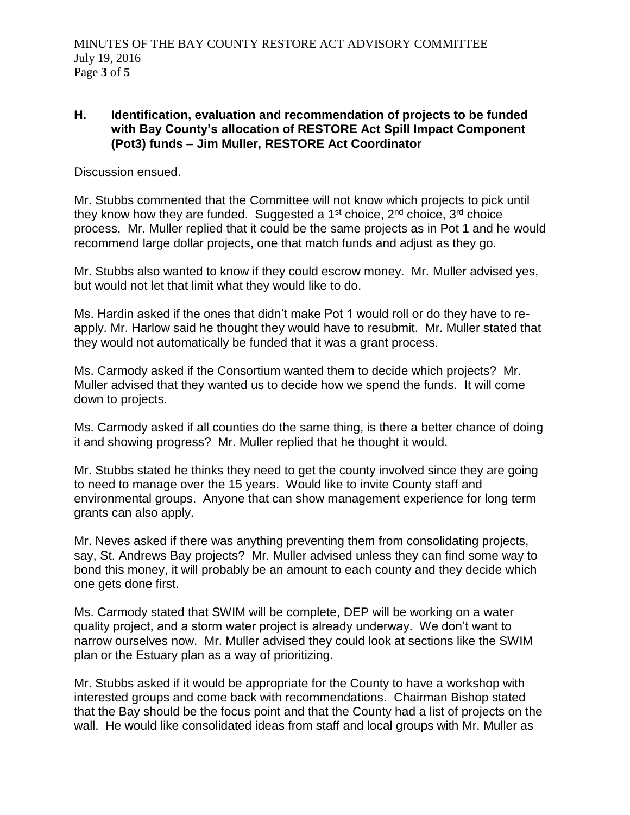## **H. Identification, evaluation and recommendation of projects to be funded with Bay County's allocation of RESTORE Act Spill Impact Component (Pot3) funds – Jim Muller, RESTORE Act Coordinator**

Discussion ensued.

Mr. Stubbs commented that the Committee will not know which projects to pick until they know how they are funded. Suggested a  $1<sup>st</sup>$  choice,  $2<sup>nd</sup>$  choice choice process. Mr. Muller replied that it could be the same projects as in Pot 1 and he would recommend large dollar projects, one that match funds and adjust as they go.

Mr. Stubbs also wanted to know if they could escrow money. Mr. Muller advised yes, but would not let that limit what they would like to do.

Ms. Hardin asked if the ones that didn't make Pot 1 would roll or do they have to reapply. Mr. Harlow said he thought they would have to resubmit. Mr. Muller stated that they would not automatically be funded that it was a grant process.

Ms. Carmody asked if the Consortium wanted them to decide which projects? Mr. Muller advised that they wanted us to decide how we spend the funds. It will come down to projects.

Ms. Carmody asked if all counties do the same thing, is there a better chance of doing it and showing progress? Mr. Muller replied that he thought it would.

Mr. Stubbs stated he thinks they need to get the county involved since they are going to need to manage over the 15 years. Would like to invite County staff and environmental groups. Anyone that can show management experience for long term grants can also apply.

Mr. Neves asked if there was anything preventing them from consolidating projects, say, St. Andrews Bay projects? Mr. Muller advised unless they can find some way to bond this money, it will probably be an amount to each county and they decide which one gets done first.

Ms. Carmody stated that SWIM will be complete, DEP will be working on a water quality project, and a storm water project is already underway. We don't want to narrow ourselves now. Mr. Muller advised they could look at sections like the SWIM plan or the Estuary plan as a way of prioritizing.

Mr. Stubbs asked if it would be appropriate for the County to have a workshop with interested groups and come back with recommendations. Chairman Bishop stated that the Bay should be the focus point and that the County had a list of projects on the wall. He would like consolidated ideas from staff and local groups with Mr. Muller as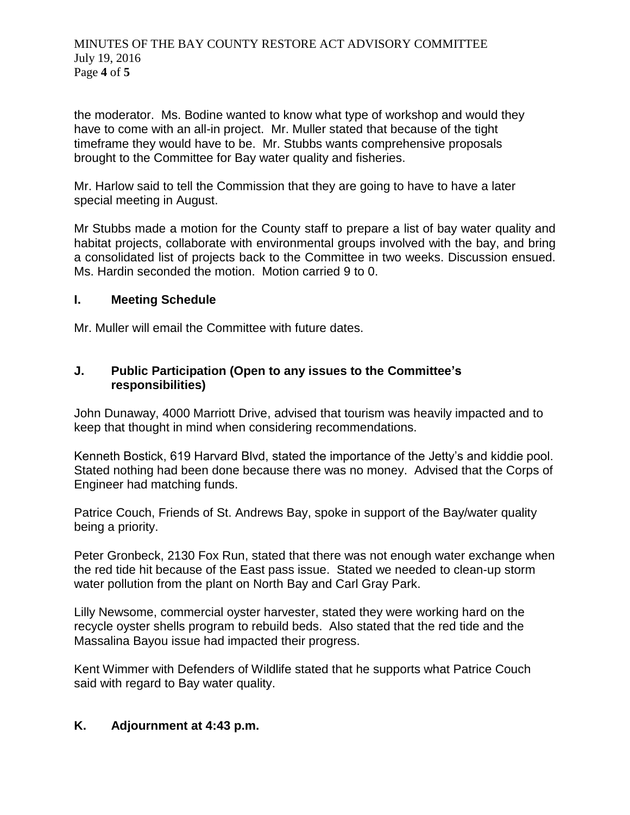the moderator. Ms. Bodine wanted to know what type of workshop and would they have to come with an all-in project. Mr. Muller stated that because of the tight timeframe they would have to be. Mr. Stubbs wants comprehensive proposals brought to the Committee for Bay water quality and fisheries.

Mr. Harlow said to tell the Commission that they are going to have to have a later special meeting in August.

Mr Stubbs made a motion for the County staff to prepare a list of bay water quality and habitat projects, collaborate with environmental groups involved with the bay, and bring a consolidated list of projects back to the Committee in two weeks. Discussion ensued. Ms. Hardin seconded the motion. Motion carried 9 to 0.

## **I. Meeting Schedule**

Mr. Muller will email the Committee with future dates.

# **J. Public Participation (Open to any issues to the Committee's responsibilities)**

John Dunaway, 4000 Marriott Drive, advised that tourism was heavily impacted and to keep that thought in mind when considering recommendations.

Kenneth Bostick, 619 Harvard Blvd, stated the importance of the Jetty's and kiddie pool. Stated nothing had been done because there was no money. Advised that the Corps of Engineer had matching funds.

Patrice Couch, Friends of St. Andrews Bay, spoke in support of the Bay/water quality being a priority.

Peter Gronbeck, 2130 Fox Run, stated that there was not enough water exchange when the red tide hit because of the East pass issue. Stated we needed to clean-up storm water pollution from the plant on North Bay and Carl Gray Park.

Lilly Newsome, commercial oyster harvester, stated they were working hard on the recycle oyster shells program to rebuild beds. Also stated that the red tide and the Massalina Bayou issue had impacted their progress.

Kent Wimmer with Defenders of Wildlife stated that he supports what Patrice Couch said with regard to Bay water quality.

# **K. Adjournment at 4:43 p.m.**